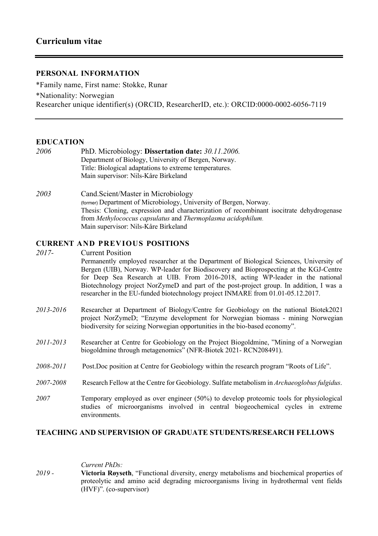# **PERSONAL INFORMATION**

\*Family name, First name: Stokke, Runar \*Nationality: Norwegian Researcher unique identifier(s) (ORCID, ResearcherID, etc.): ORCID:0000-0002-6056-7119

## **EDUCATION**

| 2006 | PhD. Microbiology: Dissertation date: 30.11.2006.      |
|------|--------------------------------------------------------|
|      | Department of Biology, University of Bergen, Norway.   |
|      | Title: Biological adaptations to extreme temperatures. |
|      | Main supervisor: Nils-Kåre Birkeland                   |
|      |                                                        |

*2003* Cand.Scient/Master in Microbiology (former) Department of Microbiology, University of Bergen, Norway. Thesis: Cloning, expression and characterization of recombinant isocitrate dehydrogenase from *Methylococcus capsulatus* and *Thermoplasma acidophilum*. Main supervisor: Nils-Kåre Birkeland

## **CURRENT AND PREVIOUS POSITIONS**

*2017-* Current Position Permanently employed researcher at the Department of Biological Sciences, University of Bergen (UIB), Norway. WP-leader for Biodiscovery and Bioprospecting at the KGJ-Centre for Deep Sea Research at UIB. From 2016-2018, acting WP-leader in the national Biotechnology project NorZymeD and part of the post-project group. In addition, I was a researcher in the EU-funded biotechnology project INMARE from 01.01-05.12.2017. *2013-2016* Researcher at Department of Biology/Centre for Geobiology on the national Biotek2021 project NorZymeD; "Enzyme development for Norwegian biomass - mining Norwegian

*2011-2013* Researcher at Centre for Geobiology on the Project Biogoldmine, "Mining of a Norwegian biogoldmine through metagenomics" (NFR-Biotek 2021- RCN208491).

biodiversity for seizing Norwegian opportunities in the bio-based economy".

- *2008-2011* Post.Doc position at Centre for Geobiology within the research program "Roots of Life".
- *2007-2008* Research Fellow at the Centre for Geobiology. Sulfate metabolism in *Archaeoglobus fulgidus*.
- *2007* Temporary employed as over engineer (50%) to develop proteomic tools for physiological studies of microorganisms involved in central biogeochemical cycles in extreme environments.

## **TEACHING AND SUPERVISION OF GRADUATE STUDENTS/RESEARCH FELLOWS**

*Current PhDs:*

*2019 -* **Victoria Røyseth**, "Functional diversity, energy metabolisms and biochemical properties of proteolytic and amino acid degrading microorganisms living in hydrothermal vent fields (HVF)". (co-supervisor)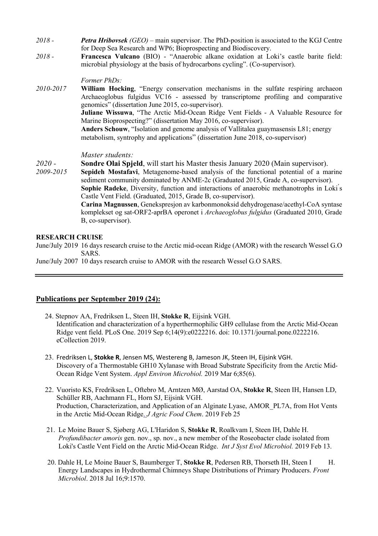- *2018 - Petra Hribovsek (GEO) –* main supervisor. The PhD-position is associated to the KGJ Centre for Deep Sea Research and WP6; Bioprospecting and Biodiscovery.
- *2018 -* **Francesca Vulcano** (BIO) "Anaerobic alkane oxidation at Loki's castle barite field: microbial physiology at the basis of hydrocarbons cycling". (Co-supervisor).

### *Former PhDs:*

*2010-2017* **William Hocking**, "Energy conservation mechanisms in the sulfate respiring archaeon Archaeoglobus fulgidus VC16 - assessed by transcriptome profiling and comparative genomics" (dissertation June 2015, co-supervisor). **Juliane Wissuwa**, "The Arctic Mid-Ocean Ridge Vent Fields - A Valuable Resource for Marine Bioprospecting?" (dissertation May 2016, co-supervisor). **Anders Schouw**, "Isolation and genome analysis of Vallitalea guaymasensis L81; energy metabolism, syntrophy and applications" (dissertation June 2018, co-supervisor)

### *Master students:*

- *2020 -* **Sondre Olai Spjeld**, will start his Master thesis January 2020 (Main supervisor).
- *2009-2015* **Sepideh Mostafavi**, Metagenome-based analysis of the functional potential of a marine sediment community dominated by ANME-2c (Graduated 2015, Grade A, co-supervisor). Sophie Radeke, Diversity, function and interactions of anaerobic methanotrophs in Loki's Castle Vent Field. (Graduated, 2015, Grade B, co-supervisor). **Carina Magnussen**, Genekspresjon av karbonmonoksid dehydrogenase/acethyl-CoA syntase komplekset og sat-ORF2-aprBA operonet i *Archaeoglobus fulgidus* (Graduated 2010, Grade B, co-supervisor).

#### **RESEARCH CRUISE**

June/July 2019 16 days research cruise to the Arctic mid-ocean Ridge (AMOR) with the research Wessel G.O SARS.

June/July 2007 10 days research cruise to AMOR with the research Wessel G.O SARS.

### **Publications per September 2019 (24):**

- 24. Stepnov AA, Fredriksen L, Steen IH, **Stokke R**, Eijsink VGH. Identification and characterization of a hyperthermophilic GH9 cellulase from the Arctic Mid-Ocean Ridge vent field. PLoS One. 2019 Sep 6;14(9):e0222216. doi: 10.1371/journal.pone.0222216. eCollection 2019.
- 23. Fredriksen L, **Stokke R**, Jensen MS, Westereng B, Jameson JK, Steen IH, Eijsink VGH. Discovery of a Thermostable GH10 Xylanase with Broad Substrate Specificity from the Arctic Mid-Ocean Ridge Vent System. *Appl Environ Microbiol.* 2019 Mar 6;85(6).
- 22. Vuoristo KS, Fredriksen L, Oftebro M, Arntzen MØ, Aarstad OA, **Stokke R**, Steen IH, Hansen LD, Schüller RB, Aachmann FL, Horn SJ, Eijsink VGH. Production, Characterization, and Application of an Alginate Lyase, AMOR\_PL7A, from Hot Vents in the Arctic Mid-Ocean Ridge. *J Agric Food Chem*. 2019 Feb 25
- 21. Le Moine Bauer S, Sjøberg AG, L'Haridon S, **Stokke R**, Roalkvam I, Steen IH, Dahle H. *Profundibacter amoris* gen. nov., sp. nov., a new member of the Roseobacter clade isolated from Loki's Castle Vent Field on the Arctic Mid-Ocean Ridge. *Int J Syst Evol Microbiol.* 2019 Feb 13.
- 20. Dahle H, Le Moine Bauer S, Baumberger T, **Stokke R**, Pedersen RB, Thorseth IH, Steen I H. Energy Landscapes in Hydrothermal Chimneys Shape Distributions of Primary Producers. *Front Microbiol*. 2018 Jul 16;9:1570.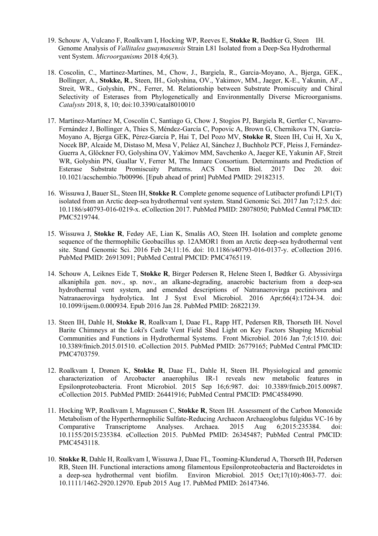- 19. Schouw A, Vulcano F, Roalkvam I, Hocking WP, Reeves E, **Stokke R**, Bødtker G, Steen IH. Genome Analysis of *Vallitalea guaymasensis* Strain L81 Isolated from a Deep-Sea Hydrothermal vent System. *Microorganisms* 2018 4;6(3).
- 18. Coscolin, C., Martinez-Martines, M., Chow, J., Bargiela, R., Garcia-Moyano, A., Bjerga, GEK., Bollinger, A., **Stokke, R**., Steen, IH., Golyshina, OV., Yakimov, MM., Jaeger, K-E., Yakunin, AF., Streit, WR., Golyshin, PN., Ferrer, M. Relationship between Substrate Promiscuity and Chiral Selectivity of Esterases from Phylogenetically and Environmentally Diverse Microorganisms. *Catalysts* 2018, 8, 10; doi:10.3390/catal8010010
- 17. Martínez-Martínez M, Coscolín C, Santiago G, Chow J, Stogios PJ, Bargiela R, Gertler C, Navarro-Fernández J, Bollinger A, Thies S, Méndez-García C, Popovic A, Brown G, Chernikova TN, García-Moyano A, Bjerga GEK, Pérez-García P, Hai T, Del Pozo MV, **Stokke R**, Steen IH, Cui H, Xu X, Nocek BP, Alcaide M, Distaso M, Mesa V, Peláez AI, Sánchez J, Buchholz PCF, Pleiss J, Fernández-Guerra A, Glöckner FO, Golyshina OV, Yakimov MM, Savchenko A, Jaeger KE, Yakunin AF, Streit WR, Golyshin PN, Guallar V, Ferrer M, The Inmare Consortium. Determinants and Prediction of Esterase Substrate Promiscuity Patterns. ACS Chem Biol. 2017 Dec 20. doi: 10.1021/acschembio.7b00996. [Epub ahead of print] PubMed PMID: 29182315.
- 16. Wissuwa J, Bauer SL, Steen IH, **Stokke R**. Complete genome sequence of Lutibacter profundi LP1(T) isolated from an Arctic deep-sea hydrothermal vent system. Stand Genomic Sci. 2017 Jan 7;12:5. doi: 10.1186/s40793-016-0219-x. eCollection 2017. PubMed PMID: 28078050; PubMed Central PMCID: PMC5219744.
- 15. Wissuwa J, **Stokke R**, Fedøy AE, Lian K, Smalås AO, Steen IH. Isolation and complete genome sequence of the thermophilic Geobacillus sp. 12AMOR1 from an Arctic deep-sea hydrothermal vent site. Stand Genomic Sci. 2016 Feb 24;11:16. doi: 10.1186/s40793-016-0137-y. eCollection 2016. PubMed PMID: 26913091; PubMed Central PMCID: PMC4765119.
- 14. Schouw A, Leiknes Eide T, **Stokke R**, Birger Pedersen R, Helene Steen I, Bødtker G. Abyssivirga alkaniphila gen. nov., sp. nov., an alkane-degrading, anaerobic bacterium from a deep-sea hydrothermal vent system, and emended descriptions of Natranaerovirga pectinivora and Natranaerovirga hydrolytica. Int J Syst Evol Microbiol. 2016 Apr;66(4):1724-34. doi: 10.1099/ijsem.0.000934. Epub 2016 Jan 28. PubMed PMID: 26822139.
- 13. Steen IH, Dahle H, **Stokke R**, Roalkvam I, Daae FL, Rapp HT, Pedersen RB, Thorseth IH. Novel Barite Chimneys at the Loki's Castle Vent Field Shed Light on Key Factors Shaping Microbial Communities and Functions in Hydrothermal Systems. Front Microbiol. 2016 Jan 7;6:1510. doi: 10.3389/fmicb.2015.01510. eCollection 2015. PubMed PMID: 26779165; PubMed Central PMCID: PMC4703759.
- 12. Roalkvam I, Drønen K, **Stokke R**, Daae FL, Dahle H, Steen IH. Physiological and genomic characterization of Arcobacter anaerophilus IR-1 reveals new metabolic features in Epsilonproteobacteria. Front Microbiol. 2015 Sep 16;6:987. doi: 10.3389/fmicb.2015.00987. eCollection 2015. PubMed PMID: 26441916; PubMed Central PMCID: PMC4584990.
- 11. Hocking WP, Roalkvam I, Magnussen C, **Stokke R**, Steen IH. Assessment of the Carbon Monoxide Metabolism of the Hyperthermophilic Sulfate-Reducing Archaeon Archaeoglobus fulgidus VC-16 by Comparative Transcriptome Analyses. Archaea. 2015 Aug 6;2015:235384. doi: 10.1155/2015/235384. eCollection 2015. PubMed PMID: 26345487; PubMed Central PMCID: PMC4543118.
- 10. **Stokke R**, Dahle H, Roalkvam I, Wissuwa J, Daae FL, Tooming-Klunderud A, Thorseth IH, Pedersen RB, Steen IH. Functional interactions among filamentous Epsilonproteobacteria and Bacteroidetes in a deep-sea hydrothermal vent biofilm. Environ Microbiol. 2015 Oct;17(10):4063-77. doi: 10.1111/1462-2920.12970. Epub 2015 Aug 17. PubMed PMID: 26147346.